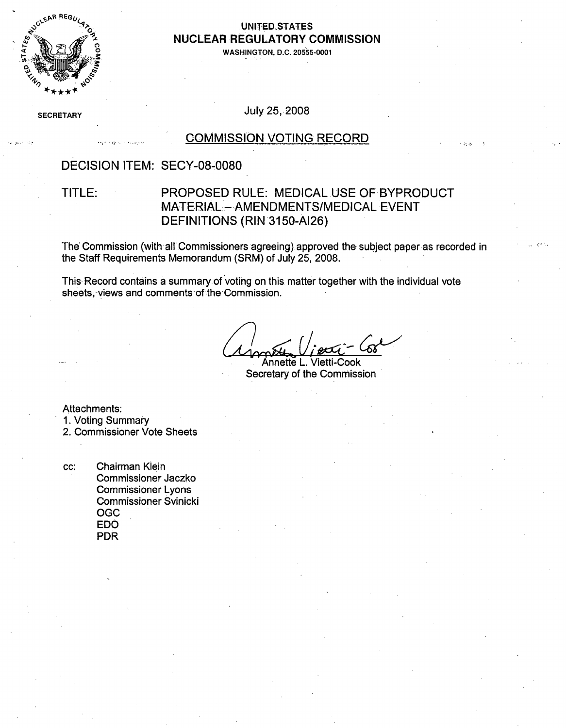

#### **UNITED STATES** . • **NUCLEAR** REGULATORY **COMMISSION**

**0• WASHINGTON, D.C. 20555-0001**

SECRETARY JULY 25, 2008

### COMMISSION VOTING RECORD

#### DECISION ITEM: SECY-08-0080

### TITLE: PROPOSED RULE: MEDICAL USE OF BYPRODUCT MATERIAL - AMENDMENTS/MEDICAL EVENT DEFINITIONS (RIN 3150-AI26)

The' Commission (with all Commissioners agreeing) approved the subject paper as recorded in the Staff Requirements Memorandum (SRM) of July 25, 2008.

This- Record contains a summary of voting on this matter together with the individual vote sheets, views and comments of the Commission.

Annette L. Vietti-Cook Secretary of the Commission

Attachments:

1. Voting Summary

2. Commissioner Vote Sheets

cc: Chairman Klein Commissioner Jaczko Commissioner Lyons Commissioner Svinicki OGC EDO PDR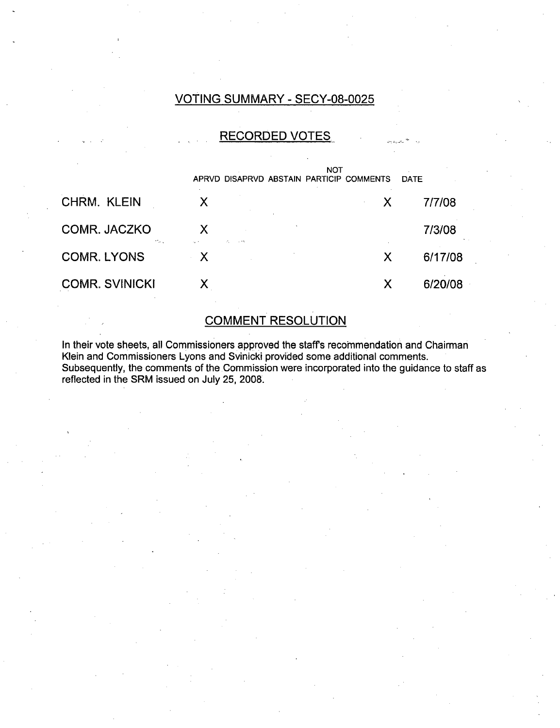## VOTING SUMMARY - SECY-08-0025

### RECORDED VOTES

|                        | NOT<br>APRVD DISAPRVD ABSTAIN PARTICIP COMMENTS |   | <b>DATE</b> |
|------------------------|-------------------------------------------------|---|-------------|
| CHRM. KLEIN            | X                                               | X | 7/7/08      |
| COMR. JACZKO<br>marca. | X<br>$\sim$ 11                                  |   | 7/3/08      |
| <b>COMR. LYONS</b>     | $\boldsymbol{\mathsf{X}}$                       | X | 6/17/08     |
| <b>COMR. SVINICKI</b>  |                                                 | X | 6/20/08     |

## **COMMENT RESOLUTION**

In their vote sheets, all Commissioners approved the staffs recommendation and Chairman Klein and Commissioners Lyons and Svinicki provided some additional comments. Subsequently, the comments of the Commission were incorporated into the guidance to staff as reflected in the SRM issued on July 25, 2008.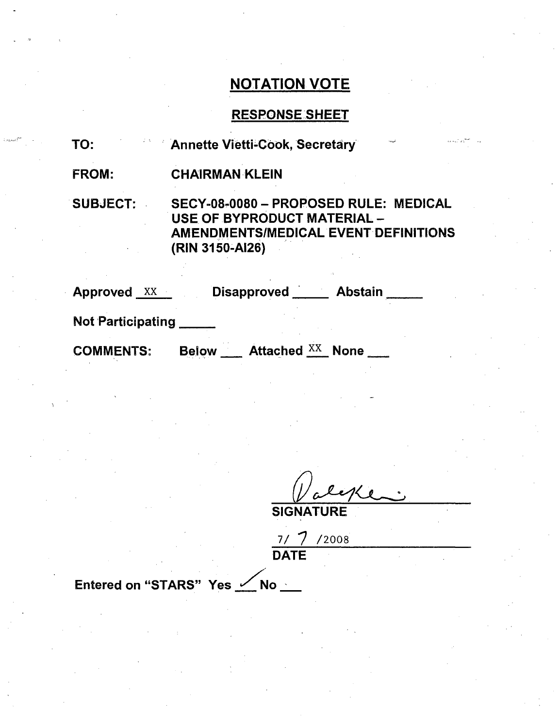# NOTATION VOTE

## RESPONSESHEET

| TO:                      | <b>Annette Vietti-Cook, Secretary</b>                                                                                                  |
|--------------------------|----------------------------------------------------------------------------------------------------------------------------------------|
| <b>FROM:</b>             | <b>CHAIRMAN KLEIN</b>                                                                                                                  |
| <b>SUBJECT:</b>          | SECY-08-0080 - PROPOSED RULE: MEDICAL<br>USE OF BYPRODUCT MATERIAL -<br><b>AMENDMENTS/MEDICAL EVENT DEFINITIONS</b><br>(RIN 3150-AI26) |
| <b>Approved XX</b>       | Disapproved _____ Abstain                                                                                                              |
| <b>Not Participating</b> |                                                                                                                                        |
|                          |                                                                                                                                        |

COMMENTS: Below \_\_\_ Attached <sup>XX</sup>\_ None

**SIGNATURE** 

7/ /200 DATE

Entered on "STARS" Yes <u>/</u>No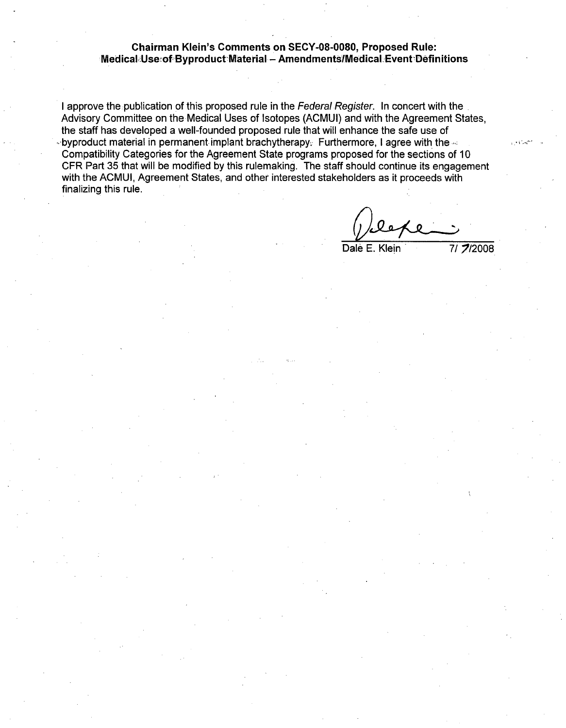#### Chairman Klein's Comments on SECY-08-0080, Proposed Rule: Medical Use of Byproduct Material - Amendments/Medical Event Definitions

I approve the publication of this proposed rule in the *Federal Register.* In concert with the Advisory Committee on the Medical Uses of Isotopes (ACMUI) and with the Agreement States, the staff has developed a well-founded proposed rule that will enhance the safe use of  $\cdot$ byproduct material in permanent-implant brachytherapy. Furthermore, I agree with the  $\cdot$ Compatibility Categories for the Agreement State programs proposed for the sections of 10 CFR Part 35 that will be modified by this rulemaking. The staff should continue its engagement with the ACMUI, Agreement States, and other interested stakeholders as it proceeds with finalizing this rule.

Dale E. Klein 7/7/2008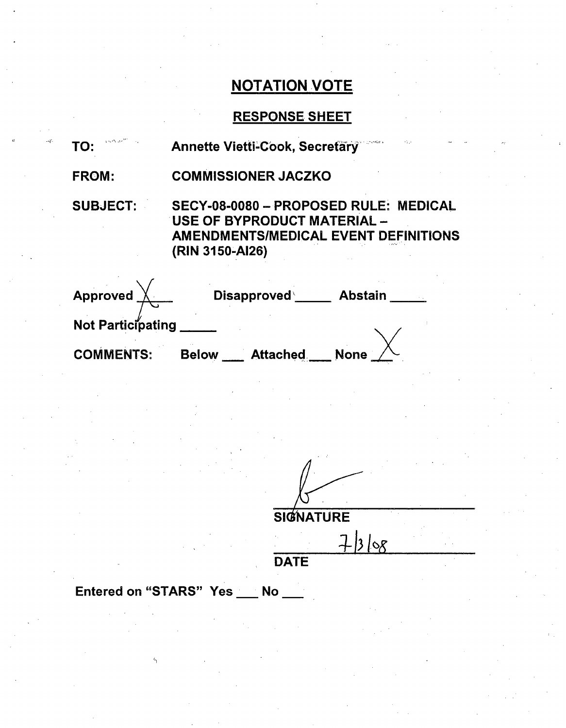# NOTATION VOTE.

# RESPONSE SHEET

| TO:                                                                             | Annette Vietti-Cook, Secretary                                                                                                  |  |
|---------------------------------------------------------------------------------|---------------------------------------------------------------------------------------------------------------------------------|--|
| <b>FROM:</b>                                                                    | <b>COMMISSIONER JACZKO</b>                                                                                                      |  |
| <b>SUBJECT:</b>                                                                 | SECY-08-0080 - PROPOSED RULE: MEDICAL<br>USE OF BYPRODUCT MATERIAL -<br>AMENDMENTS/MEDICAL EVENT DEFINITIONS<br>(RIN 3150-AI26) |  |
| Approved $\overline{\bigtimes}$<br><b>Not Participating</b><br><b>COMMENTS:</b> | Disapproved _____ Abstain<br>Below ___ Attached ___ None _                                                                      |  |
|                                                                                 |                                                                                                                                 |  |

**SIGNATURE**  $7308$ 

**DATE** 

Entered on "STARS" Yes \_\_ No \_\_

**11**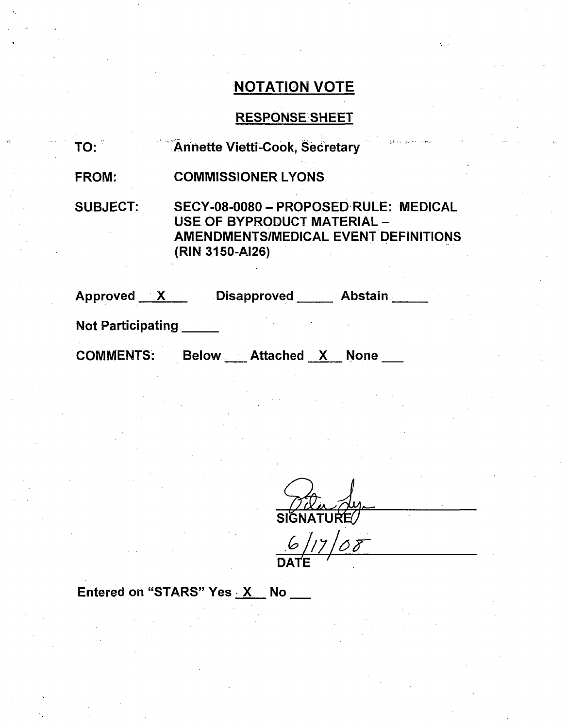# NOTATION VOTE

# RESPONSE SHEET

| TO:                      | the company of a man<br>Annette Vietti-Cook, Secretary                                                                                        |
|--------------------------|-----------------------------------------------------------------------------------------------------------------------------------------------|
| <b>FROM:</b>             | <b>COMMISSIONER LYONS</b>                                                                                                                     |
| <b>SUBJECT:</b>          | <b>SECY-08-0080 - PROPOSED RULE: MEDICAL</b><br>USE OF BYPRODUCT MATERIAL -<br><b>AMENDMENTS/MEDICAL EVENT DEFINITIONS</b><br>(RIN 3150-AI26) |
| Approved X               | <b>Abstain</b><br><b>Disapproved</b>                                                                                                          |
| <b>Not Participating</b> |                                                                                                                                               |

COMMENTS: Below \_\_\_ Attached \_X\_\_ None

SIGNATURE

*117AS9r* **DATE"**

Entered on "STARS" Yes  $X$  No  $\blacksquare$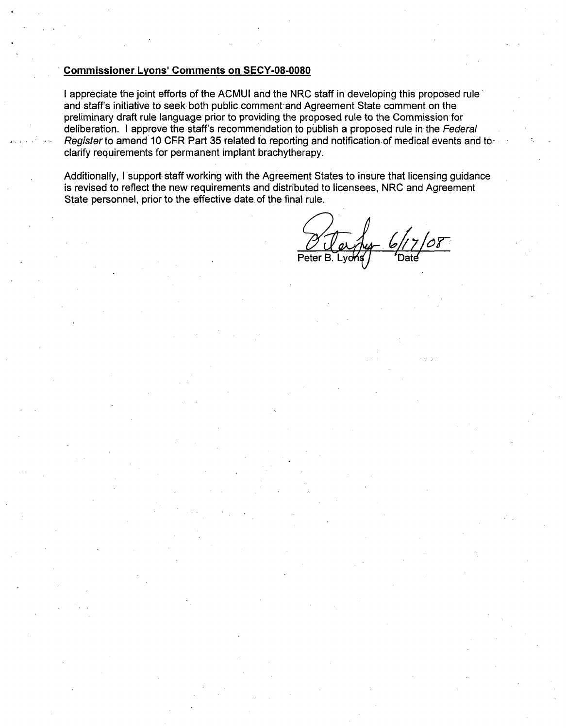#### Commissioner Lyons' Comments on SECY-08-0080

I appreciate the joint efforts of the ACMUI and the NRC staff in developing this proposed rule and staff's initiative to seek both public comment and Agreement State comment on the preliminary draft rule language prior to providing the proposed rule to the Commission for deliberation. I approve the staffs recommendation to publish a proposed rule in the *Federal Register* to amend 10 CFR Part 35 related to reporting and notification of medical events and toclarify requirements for permanent implant brachytherapy.

Additionally, I support staff working with the Agreement States to insure that licensing guidance is revised to reflect the new requirements and distributed to licensees, NRC and Agreement State personnel, prior to the effective date of the final rule.

Peter B. Lyons / Cate